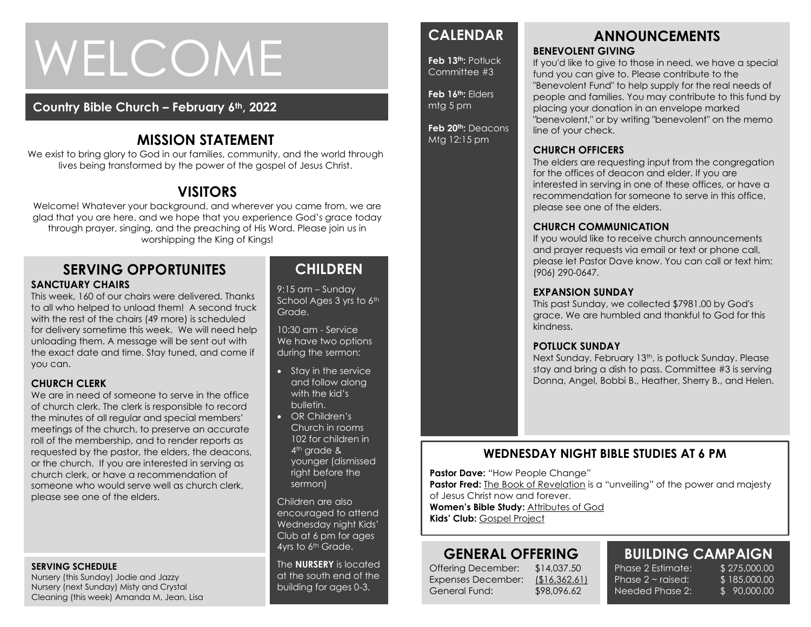# WELCOME

#### **Country Bible Church – February 6th, 2022**

# **MISSION STATEMENT**

We exist to bring glory to God in our families, community, and the world through lives being transformed by the power of the gospel of Jesus Christ.

# **VISITORS**

Welcome! Whatever your background, and wherever you came from, we are glad that you are here, and we hope that you experience God's grace today through prayer, singing, and the preaching of His Word. Please join us in worshipping the King of Kings!

#### **SERVING OPPORTUNITES SANCTUARY CHAIRS**

This week, 160 of our chairs were delivered. Thanks to all who helped to unload them! A second truck with the rest of the chairs (49 more) is scheduled for delivery sometime this week. We will need help unloading them. A message will be sent out with the exact date and time. Stay tuned, and come if you can.

#### **CHURCH CLERK**

We are in need of someone to serve in the office of church clerk. The clerk is responsible to record the minutes of all regular and special members' meetings of the church, to preserve an accurate roll of the membership, and to render reports as requested by the pastor, the elders, the deacons, or the church. If you are interested in serving as church clerk, or have a recommendation of someone who would serve well as church clerk, please see one of the elders.

#### **SERVING SCHEDULE**

Nursery (this Sunday) Jodie and Jazzy Nursery (next Sunday) Misty and Crystal Cleaning (this week) Amanda M, Jean, Lisa

# **CHILDREN**

9:15 am – Sunday School Ages 3 yrs to 6th Grade.

10:30 am - Service We have two options during the sermon:

- Stay in the service and follow along with the kid's bulletin.
- OR Children's Church in rooms 102 for children in 4<sup>th</sup> grade & younger (dismissed right before the sermon)

Children are also encouraged to attend Wednesday night Kids' Club at 6 pm for ages 4yrs to 6<sup>th</sup> Grade.

The **NURSERY** is located at the south end of the building for ages 0-3.

# **CALENDAR**

**Feb 13th:** Potluck Committee #3

**Feb 16th:** Elders mtg 5 pm

**Feb 20th:** Deacons Mtg 12:15 pm

#### **ANNOUNCEMENTS BENEVOLENT GIVING**

If you'd like to give to those in need, we have a special fund you can give to. Please contribute to the "Benevolent Fund" to help supply for the real needs of people and families. You may contribute to this fund by placing your donation in an envelope marked "benevolent," or by writing "benevolent" on the memo line of your check.

#### **CHURCH OFFICERS**

The elders are requesting input from the congregation for the offices of deacon and elder. If you are interested in serving in one of these offices, or have a recommendation for someone to serve in this office, please see one of the elders.

#### **CHURCH COMMUNICATION**

If you would like to receive church announcements and prayer requests via email or text or phone call, please let Pastor Dave know. You can call or text him: (906) 290-0647.

#### **EXPANSION SUNDAY**

This past Sunday, we collected \$7981.00 by God's grace. We are humbled and thankful to God for this kindness.

#### **POTLUCK SUNDAY**

Next Sunday, February 13<sup>th</sup>, is potluck Sunday. Please stay and bring a dish to pass. Committee #3 is serving Donna, Angel, Bobbi B., Heather, Sherry B., and Helen.

#### **WEDNESDAY NIGHT BIBLE STUDIES AT 6 PM**

**Pastor Dave:** "How People Change"

**Pastor Fred:** The Book of Revelation is a "unveiling" of the power and majesty

of Jesus Christ now and forever.

**Women's Bible Study:** Attributes of God **Kids' Club:** Gospel Project

# **GENERAL OFFERING**

Offering December: \$14,037.50 Expenses December: (\$16,362.61) General Fund: \$98,096.62

# **BUILDING CAMPAIGN**

Phase 2 Estimate: \$ 275,000.00 Phase  $2 \sim$  raised: Needed Phase 2:

\$ 185,000.00 \$ 90,000.00